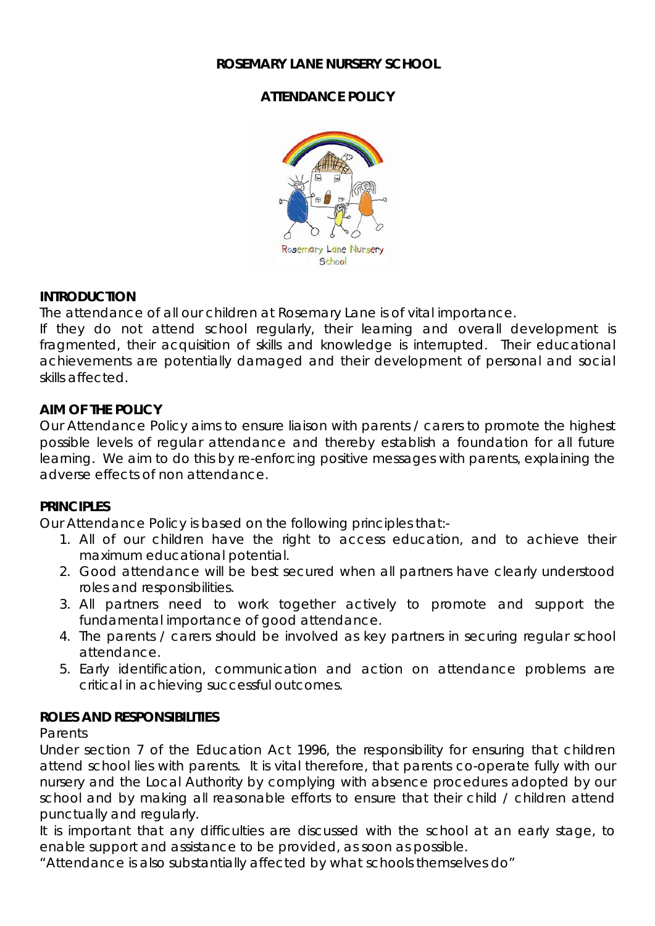### **ROSEMARY LANE NURSERY SCHOOL**

# **ATTENDANCE POLICY**



#### **INTRODUCTION**

The attendance of all our children at Rosemary Lane is of vital importance.

If they do not attend school regularly, their learning and overall development is fragmented, their acquisition of skills and knowledge is interrupted. Their educational achievements are potentially damaged and their development of personal and social skills affected.

### **AIM OF THE POLICY**

Our Attendance Policy aims to ensure liaison with parents / carers to promote the highest possible levels of regular attendance and thereby establish a foundation for all future learning. We aim to do this by re-enforcing positive messages with parents, explaining the adverse effects of non attendance.

# **PRINCIPLES**

Our Attendance Policy is based on the following principles that:-

- 1. All of our children have the right to access education, and to achieve their maximum educational potential.
- 2. Good attendance will be best secured when all partners have clearly understood roles and responsibilities.
- 3. All partners need to work together actively to promote and support the fundamental importance of good attendance.
- 4. The parents / carers should be involved as key partners in securing regular school attendance.
- 5. Early identification, communication and action on attendance problems are critical in achieving successful outcomes.

# **ROLES AND RESPONSIBILITIES**

#### *Parents*

Under section 7 of the Education Act 1996, the responsibility for ensuring that children attend school lies with parents. It is vital therefore, that parents co-operate fully with our nursery and the Local Authority by complying with absence procedures adopted by our school and by making all reasonable efforts to ensure that their child / children attend punctually and regularly.

It is important that any difficulties are discussed with the school at an early stage, to enable support and assistance to be provided, as soon as possible.

"Attendance is also substantially affected by what schools themselves do"